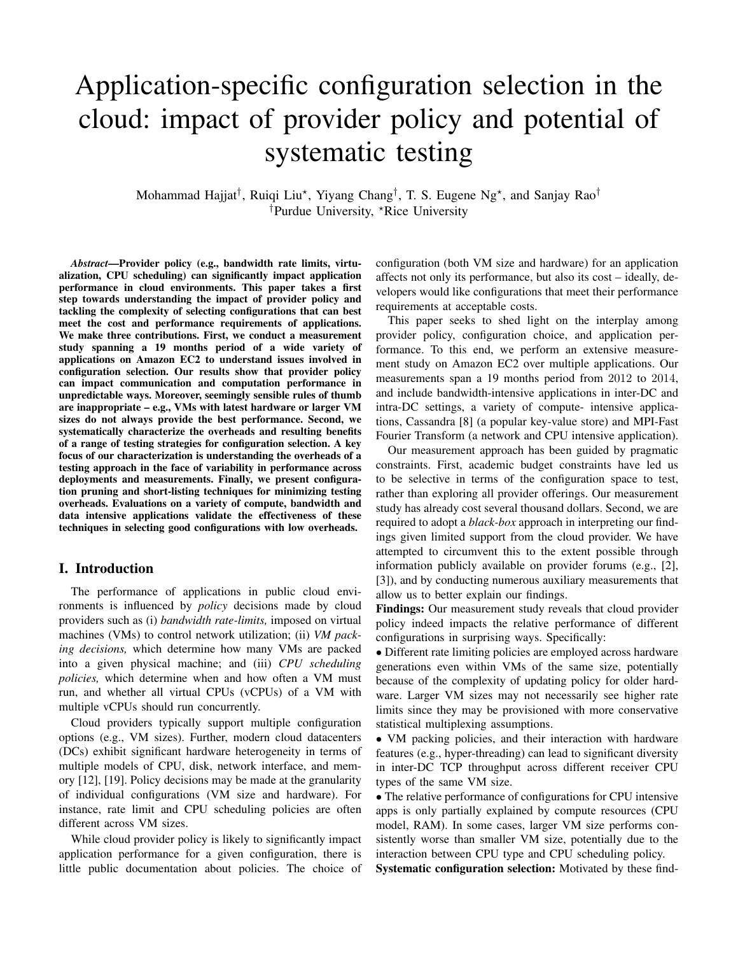# Application-specific configuration selection in the cloud: impact of provider policy and potential of systematic testing

Mohammad Hajjat<sup>†</sup>, Ruiqi Liu\*, Yiyang Chang<sup>†</sup>, T. S. Eugene Ng\*, and Sanjay Rao<sup>†</sup> <sup>†</sup>Purdue University, \*Rice University

*Abstract*—Provider policy (e.g., bandwidth rate limits, virtualization, CPU scheduling) can significantly impact application performance in cloud environments. This paper takes a first step towards understanding the impact of provider policy and tackling the complexity of selecting configurations that can best meet the cost and performance requirements of applications. We make three contributions. First, we conduct a measurement study spanning a 19 months period of a wide variety of applications on Amazon EC2 to understand issues involved in configuration selection. Our results show that provider policy can impact communication and computation performance in unpredictable ways. Moreover, seemingly sensible rules of thumb are inappropriate – e.g., VMs with latest hardware or larger VM sizes do not always provide the best performance. Second, we systematically characterize the overheads and resulting benefits of a range of testing strategies for configuration selection. A key focus of our characterization is understanding the overheads of a testing approach in the face of variability in performance across deployments and measurements. Finally, we present configuration pruning and short-listing techniques for minimizing testing overheads. Evaluations on a variety of compute, bandwidth and data intensive applications validate the effectiveness of these techniques in selecting good configurations with low overheads.

# I. Introduction

The performance of applications in public cloud environments is influenced by *policy* decisions made by cloud providers such as (i) *bandwidth rate-limits,* imposed on virtual machines (VMs) to control network utilization; (ii) *VM packing decisions,* which determine how many VMs are packed into a given physical machine; and (iii) *CPU scheduling policies,* which determine when and how often a VM must run, and whether all virtual CPUs (vCPUs) of a VM with multiple vCPUs should run concurrently.

Cloud providers typically support multiple configuration options (e.g., VM sizes). Further, modern cloud datacenters (DCs) exhibit significant hardware heterogeneity in terms of multiple models of CPU, disk, network interface, and memory [12], [19]. Policy decisions may be made at the granularity of individual configurations (VM size and hardware). For instance, rate limit and CPU scheduling policies are often different across VM sizes.

While cloud provider policy is likely to significantly impact application performance for a given configuration, there is little public documentation about policies. The choice of configuration (both VM size and hardware) for an application affects not only its performance, but also its cost – ideally, developers would like configurations that meet their performance requirements at acceptable costs.

This paper seeks to shed light on the interplay among provider policy, configuration choice, and application performance. To this end, we perform an extensive measurement study on Amazon EC2 over multiple applications. Our measurements span a 19 months period from 2012 to 2014, and include bandwidth-intensive applications in inter-DC and intra-DC settings, a variety of compute- intensive applications, Cassandra [8] (a popular key-value store) and MPI-Fast Fourier Transform (a network and CPU intensive application).

Our measurement approach has been guided by pragmatic constraints. First, academic budget constraints have led us to be selective in terms of the configuration space to test, rather than exploring all provider offerings. Our measurement study has already cost several thousand dollars. Second, we are required to adopt a *black-box* approach in interpreting our findings given limited support from the cloud provider. We have attempted to circumvent this to the extent possible through information publicly available on provider forums (e.g., [2], [3]), and by conducting numerous auxiliary measurements that allow us to better explain our findings.

Findings: Our measurement study reveals that cloud provider policy indeed impacts the relative performance of different configurations in surprising ways. Specifically:

• Different rate limiting policies are employed across hardware generations even within VMs of the same size, potentially because of the complexity of updating policy for older hardware. Larger VM sizes may not necessarily see higher rate limits since they may be provisioned with more conservative statistical multiplexing assumptions.

• VM packing policies, and their interaction with hardware features (e.g., hyper-threading) can lead to significant diversity in inter-DC TCP throughput across different receiver CPU types of the same VM size.

• The relative performance of configurations for CPU intensive apps is only partially explained by compute resources (CPU model, RAM). In some cases, larger VM size performs consistently worse than smaller VM size, potentially due to the interaction between CPU type and CPU scheduling policy.

Systematic configuration selection: Motivated by these find-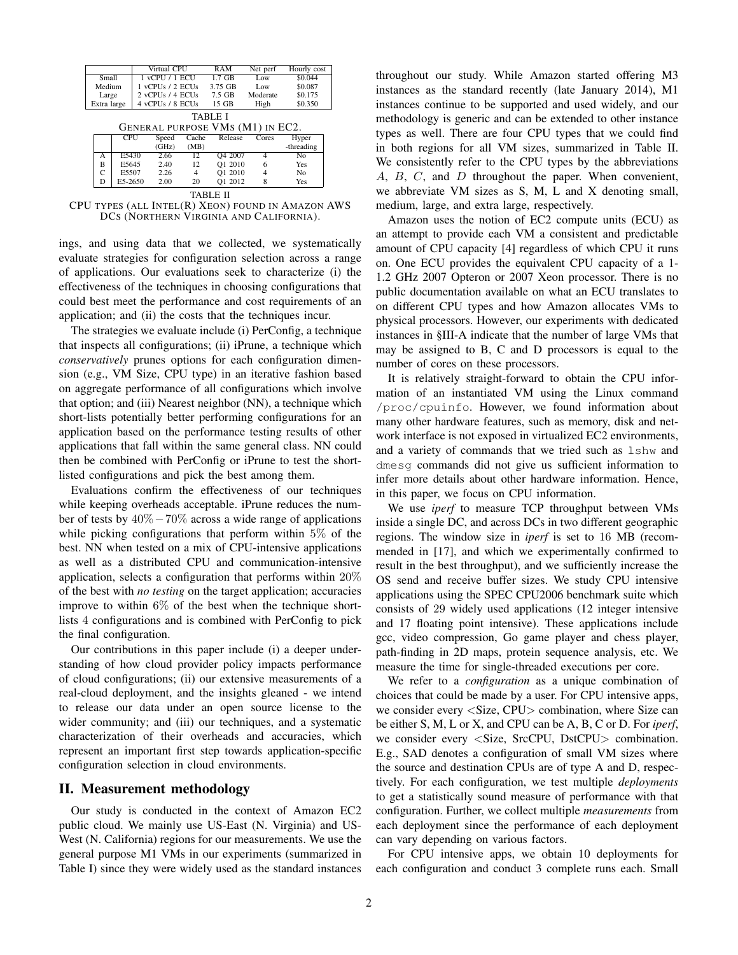|                                  | Virtual CPU<br>RAM |          | Net perf | Hourly cost |  |  |  |  |
|----------------------------------|--------------------|----------|----------|-------------|--|--|--|--|
| Small                            | 1 vCPU / 1 ECU     | $1.7$ GB | Low      | \$0.044     |  |  |  |  |
| Medium                           | 1 vCPUs / 2 ECUs   |          | Low      | \$0.087     |  |  |  |  |
| Large                            | 2 vCPUs / 4 ECUs   | 7.5 GB   | Moderate | \$0.175     |  |  |  |  |
| Extra large                      | 4 vCPUs / 8 ECUs   | 15 GB    | High     | \$0.350     |  |  |  |  |
| TABLE I                          |                    |          |          |             |  |  |  |  |
| GENERAL PURPOSE VMS (M1) IN EC2. |                    |          |          |             |  |  |  |  |
| <b>CPU</b>                       | Cache<br>Speed     | Release  | Cores    | Hyper       |  |  |  |  |

|   | u u     | www   | <b>Carne</b> | wwas                | <u>corcs</u> | 11 y p. u  |
|---|---------|-------|--------------|---------------------|--------------|------------|
|   |         | (GHz) | (MB)         |                     |              | -threading |
| А | E5430   | 2.66  | 12           | O <sub>4</sub> 2007 | 4            | No         |
| В | E5645   | 2.40  | 12           | O1 2010             | 6            | Yes        |
| C | E5507   | 2.26  | 4            | O1 2010             | 4            | No         |
| D | E5-2650 | 2.00  | 20           | O1 2012             |              | Yes        |
|   |         |       | TABLE II     |                     |              |            |

CPU TYPES (ALL INTEL(R) XEON) FOUND IN AMAZON AWS DCS (NORTHERN VIRGINIA AND CALIFORNIA).

ings, and using data that we collected, we systematically evaluate strategies for configuration selection across a range of applications. Our evaluations seek to characterize (i) the effectiveness of the techniques in choosing configurations that could best meet the performance and cost requirements of an application; and (ii) the costs that the techniques incur.

The strategies we evaluate include (i) PerConfig, a technique that inspects all configurations; (ii) iPrune, a technique which *conservatively* prunes options for each configuration dimension (e.g., VM Size, CPU type) in an iterative fashion based on aggregate performance of all configurations which involve that option; and (iii) Nearest neighbor (NN), a technique which short-lists potentially better performing configurations for an application based on the performance testing results of other applications that fall within the same general class. NN could then be combined with PerConfig or iPrune to test the shortlisted configurations and pick the best among them.

Evaluations confirm the effectiveness of our techniques while keeping overheads acceptable. iPrune reduces the number of tests by 40%−70% across a wide range of applications while picking configurations that perform within  $5\%$  of the best. NN when tested on a mix of CPU-intensive applications as well as a distributed CPU and communication-intensive application, selects a configuration that performs within 20% of the best with *no testing* on the target application; accuracies improve to within  $6\%$  of the best when the technique shortlists 4 configurations and is combined with PerConfig to pick the final configuration.

Our contributions in this paper include (i) a deeper understanding of how cloud provider policy impacts performance of cloud configurations; (ii) our extensive measurements of a real-cloud deployment, and the insights gleaned - we intend to release our data under an open source license to the wider community; and (iii) our techniques, and a systematic characterization of their overheads and accuracies, which represent an important first step towards application-specific configuration selection in cloud environments.

### II. Measurement methodology

Our study is conducted in the context of Amazon EC2 public cloud. We mainly use US-East (N. Virginia) and US-West (N. California) regions for our measurements. We use the general purpose M1 VMs in our experiments (summarized in Table I) since they were widely used as the standard instances throughout our study. While Amazon started offering M3 instances as the standard recently (late January 2014), M1 instances continue to be supported and used widely, and our methodology is generic and can be extended to other instance types as well. There are four CPU types that we could find in both regions for all VM sizes, summarized in Table II. We consistently refer to the CPU types by the abbreviations A, B, C, and D throughout the paper. When convenient, we abbreviate VM sizes as S, M, L and X denoting small, medium, large, and extra large, respectively.

Amazon uses the notion of EC2 compute units (ECU) as an attempt to provide each VM a consistent and predictable amount of CPU capacity [4] regardless of which CPU it runs on. One ECU provides the equivalent CPU capacity of a 1- 1.2 GHz 2007 Opteron or 2007 Xeon processor. There is no public documentation available on what an ECU translates to on different CPU types and how Amazon allocates VMs to physical processors. However, our experiments with dedicated instances in §III-A indicate that the number of large VMs that may be assigned to B, C and D processors is equal to the number of cores on these processors.

It is relatively straight-forward to obtain the CPU information of an instantiated VM using the Linux command /proc/cpuinfo. However, we found information about many other hardware features, such as memory, disk and network interface is not exposed in virtualized EC2 environments, and a variety of commands that we tried such as lshw and dmesg commands did not give us sufficient information to infer more details about other hardware information. Hence, in this paper, we focus on CPU information.

We use *iperf* to measure TCP throughput between VMs inside a single DC, and across DCs in two different geographic regions. The window size in *iperf* is set to 16 MB (recommended in [17], and which we experimentally confirmed to result in the best throughput), and we sufficiently increase the OS send and receive buffer sizes. We study CPU intensive applications using the SPEC CPU2006 benchmark suite which consists of 29 widely used applications (12 integer intensive and 17 floating point intensive). These applications include gcc, video compression, Go game player and chess player, path-finding in 2D maps, protein sequence analysis, etc. We measure the time for single-threaded executions per core.

We refer to a *configuration* as a unique combination of choices that could be made by a user. For CPU intensive apps, we consider every <Size, CPU> combination, where Size can be either S, M, L or X, and CPU can be A, B, C or D. For *iperf*, we consider every <Size, SrcCPU, DstCPU> combination. E.g., SAD denotes a configuration of small VM sizes where the source and destination CPUs are of type A and D, respectively. For each configuration, we test multiple *deployments* to get a statistically sound measure of performance with that configuration. Further, we collect multiple *measurements* from each deployment since the performance of each deployment can vary depending on various factors.

For CPU intensive apps, we obtain 10 deployments for each configuration and conduct 3 complete runs each. Small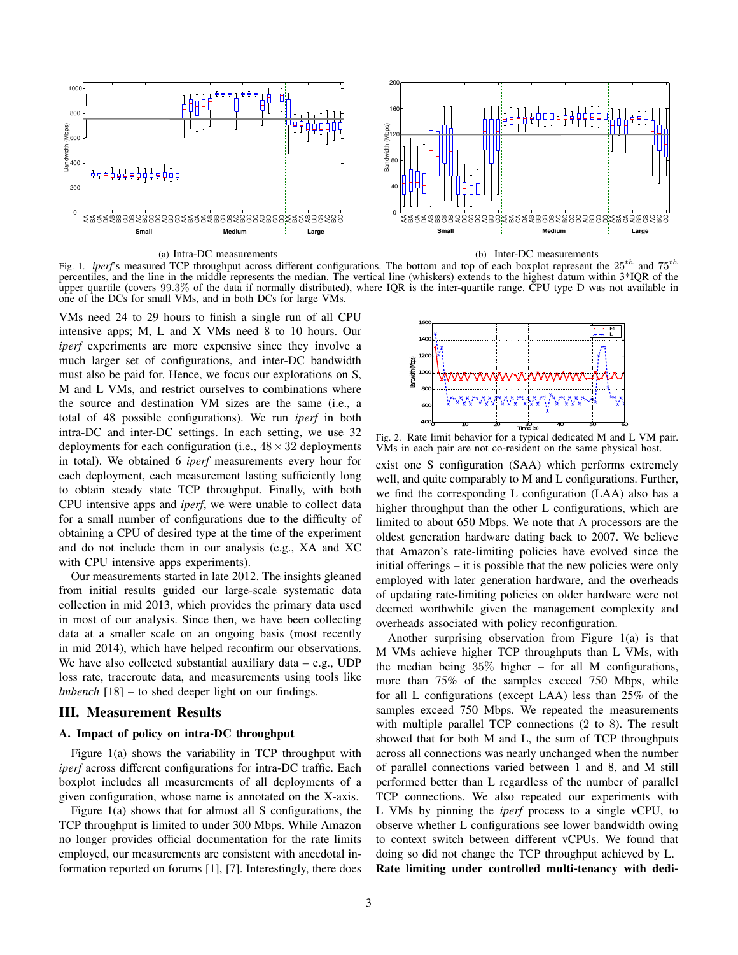

(a) Intra-DC measurements

(b) Inter-DC measurements

Fig. 1. *iperf*'s measured TCP throughput across different configurations. The bottom and top of each boxplot represent the  $25^{th}$  and  $75^{th}$ percentiles, and the line in the middle represents the median. The vertical line (whiskers) extends to the highest datum within 3\*IQR of the upper quartile (covers 99.3% of the data if normally distributed), where IQR is the inter-quartile range. CPU type D was not available in one of the DCs for small VMs, and in both DCs for large VMs.

VMs need 24 to 29 hours to finish a single run of all CPU intensive apps; M, L and X VMs need 8 to 10 hours. Our *iperf* experiments are more expensive since they involve a much larger set of configurations, and inter-DC bandwidth must also be paid for. Hence, we focus our explorations on S, M and L VMs, and restrict ourselves to combinations where the source and destination VM sizes are the same (i.e., a total of 48 possible configurations). We run *iperf* in both intra-DC and inter-DC settings. In each setting, we use 32 deployments for each configuration (i.e.,  $48 \times 32$  deployments in total). We obtained 6 *iperf* measurements every hour for each deployment, each measurement lasting sufficiently long to obtain steady state TCP throughput. Finally, with both CPU intensive apps and *iperf*, we were unable to collect data for a small number of configurations due to the difficulty of obtaining a CPU of desired type at the time of the experiment and do not include them in our analysis (e.g., XA and XC with CPU intensive apps experiments).

Our measurements started in late 2012. The insights gleaned from initial results guided our large-scale systematic data collection in mid 2013, which provides the primary data used in most of our analysis. Since then, we have been collecting data at a smaller scale on an ongoing basis (most recently in mid 2014), which have helped reconfirm our observations. We have also collected substantial auxiliary data  $-$  e.g., UDP loss rate, traceroute data, and measurements using tools like *lmbench* [18] – to shed deeper light on our findings.

### III. Measurement Results

# A. Impact of policy on intra-DC throughput

Figure 1(a) shows the variability in TCP throughput with *iperf* across different configurations for intra-DC traffic. Each boxplot includes all measurements of all deployments of a given configuration, whose name is annotated on the X-axis.

Figure 1(a) shows that for almost all S configurations, the TCP throughput is limited to under 300 Mbps. While Amazon no longer provides official documentation for the rate limits employed, our measurements are consistent with anecdotal information reported on forums [1], [7]. Interestingly, there does



 Fig. 2. Rate limit behavior for a typical dedicated M and L VM pair. VMs in each pair are not co-resident on the same physical host.

exist one S configuration (SAA) which performs extremely well, and quite comparably to M and L configurations. Further, we find the corresponding L configuration (LAA) also has a higher throughput than the other L configurations, which are limited to about 650 Mbps. We note that A processors are the oldest generation hardware dating back to 2007. We believe that Amazon's rate-limiting policies have evolved since the initial offerings – it is possible that the new policies were only employed with later generation hardware, and the overheads of updating rate-limiting policies on older hardware were not deemed worthwhile given the management complexity and overheads associated with policy reconfiguration.

Another surprising observation from Figure 1(a) is that M VMs achieve higher TCP throughputs than L VMs, with the median being  $35\%$  higher – for all M configurations, more than 75% of the samples exceed 750 Mbps, while for all L configurations (except LAA) less than 25% of the samples exceed 750 Mbps. We repeated the measurements with multiple parallel TCP connections (2 to 8). The result showed that for both M and L, the sum of TCP throughputs across all connections was nearly unchanged when the number of parallel connections varied between 1 and 8, and M still performed better than L regardless of the number of parallel TCP connections. We also repeated our experiments with L VMs by pinning the *iperf* process to a single vCPU, to observe whether L configurations see lower bandwidth owing to context switch between different vCPUs. We found that doing so did not change the TCP throughput achieved by L. Rate limiting under controlled multi-tenancy with dedi-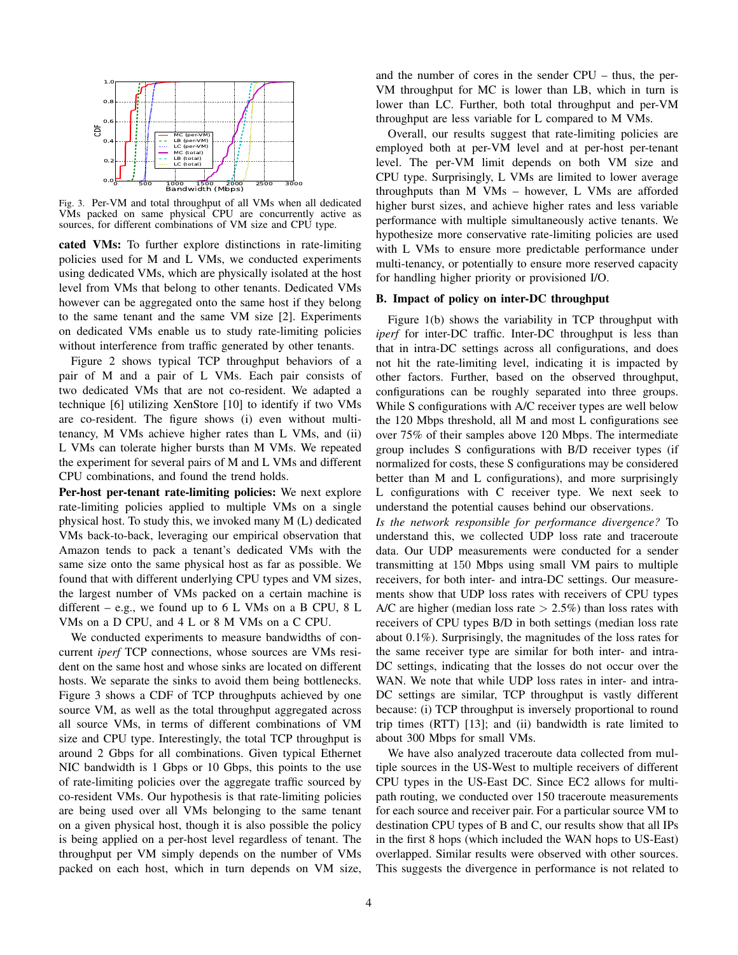

Fig. 3. Per-VM and total throughput of all VMs when all dedicated VMs packed on same physical CPU are concurrently active as sources, for different combinations of VM size and CPU type.

cated VMs: To further explore distinctions in rate-limiting policies used for M and L VMs, we conducted experiments using dedicated VMs, which are physically isolated at the host level from VMs that belong to other tenants. Dedicated VMs however can be aggregated onto the same host if they belong to the same tenant and the same VM size [2]. Experiments on dedicated VMs enable us to study rate-limiting policies without interference from traffic generated by other tenants.

Figure 2 shows typical TCP throughput behaviors of a pair of M and a pair of L VMs. Each pair consists of two dedicated VMs that are not co-resident. We adapted a technique [6] utilizing XenStore [10] to identify if two VMs are co-resident. The figure shows (i) even without multitenancy, M VMs achieve higher rates than L VMs, and (ii) L VMs can tolerate higher bursts than M VMs. We repeated the experiment for several pairs of M and L VMs and different CPU combinations, and found the trend holds.

Per-host per-tenant rate-limiting policies: We next explore rate-limiting policies applied to multiple VMs on a single physical host. To study this, we invoked many M (L) dedicated VMs back-to-back, leveraging our empirical observation that Amazon tends to pack a tenant's dedicated VMs with the same size onto the same physical host as far as possible. We found that with different underlying CPU types and VM sizes, the largest number of VMs packed on a certain machine is different  $-$  e.g., we found up to 6 L VMs on a B CPU, 8 L VMs on a D CPU, and 4 L or 8 M VMs on a C CPU.

We conducted experiments to measure bandwidths of concurrent *iperf* TCP connections, whose sources are VMs resident on the same host and whose sinks are located on different hosts. We separate the sinks to avoid them being bottlenecks. Figure 3 shows a CDF of TCP throughputs achieved by one source VM, as well as the total throughput aggregated across all source VMs, in terms of different combinations of VM size and CPU type. Interestingly, the total TCP throughput is around 2 Gbps for all combinations. Given typical Ethernet NIC bandwidth is 1 Gbps or 10 Gbps, this points to the use of rate-limiting policies over the aggregate traffic sourced by co-resident VMs. Our hypothesis is that rate-limiting policies are being used over all VMs belonging to the same tenant on a given physical host, though it is also possible the policy is being applied on a per-host level regardless of tenant. The throughput per VM simply depends on the number of VMs packed on each host, which in turn depends on VM size,

and the number of cores in the sender CPU – thus, the per-VM throughput for MC is lower than LB, which in turn is lower than LC. Further, both total throughput and per-VM throughput are less variable for L compared to M VMs.

Overall, our results suggest that rate-limiting policies are employed both at per-VM level and at per-host per-tenant level. The per-VM limit depends on both VM size and CPU type. Surprisingly, L VMs are limited to lower average throughputs than M VMs – however, L VMs are afforded higher burst sizes, and achieve higher rates and less variable performance with multiple simultaneously active tenants. We hypothesize more conservative rate-limiting policies are used with L VMs to ensure more predictable performance under multi-tenancy, or potentially to ensure more reserved capacity for handling higher priority or provisioned I/O.

#### B. Impact of policy on inter-DC throughput

Figure 1(b) shows the variability in TCP throughput with *iperf* for inter-DC traffic. Inter-DC throughput is less than that in intra-DC settings across all configurations, and does not hit the rate-limiting level, indicating it is impacted by other factors. Further, based on the observed throughput, configurations can be roughly separated into three groups. While S configurations with A/C receiver types are well below the 120 Mbps threshold, all M and most L configurations see over 75% of their samples above 120 Mbps. The intermediate group includes S configurations with B/D receiver types (if normalized for costs, these S configurations may be considered better than M and L configurations), and more surprisingly L configurations with C receiver type. We next seek to understand the potential causes behind our observations.

*Is the network responsible for performance divergence?* To understand this, we collected UDP loss rate and traceroute data. Our UDP measurements were conducted for a sender transmitting at 150 Mbps using small VM pairs to multiple receivers, for both inter- and intra-DC settings. Our measurements show that UDP loss rates with receivers of CPU types A/C are higher (median loss rate  $> 2.5\%$ ) than loss rates with receivers of CPU types B/D in both settings (median loss rate about 0.1%). Surprisingly, the magnitudes of the loss rates for the same receiver type are similar for both inter- and intra-DC settings, indicating that the losses do not occur over the WAN. We note that while UDP loss rates in inter- and intra-DC settings are similar, TCP throughput is vastly different because: (i) TCP throughput is inversely proportional to round trip times (RTT) [13]; and (ii) bandwidth is rate limited to about 300 Mbps for small VMs.

We have also analyzed traceroute data collected from multiple sources in the US-West to multiple receivers of different CPU types in the US-East DC. Since EC2 allows for multipath routing, we conducted over 150 traceroute measurements for each source and receiver pair. For a particular source VM to destination CPU types of B and C, our results show that all IPs in the first 8 hops (which included the WAN hops to US-East) overlapped. Similar results were observed with other sources. This suggests the divergence in performance is not related to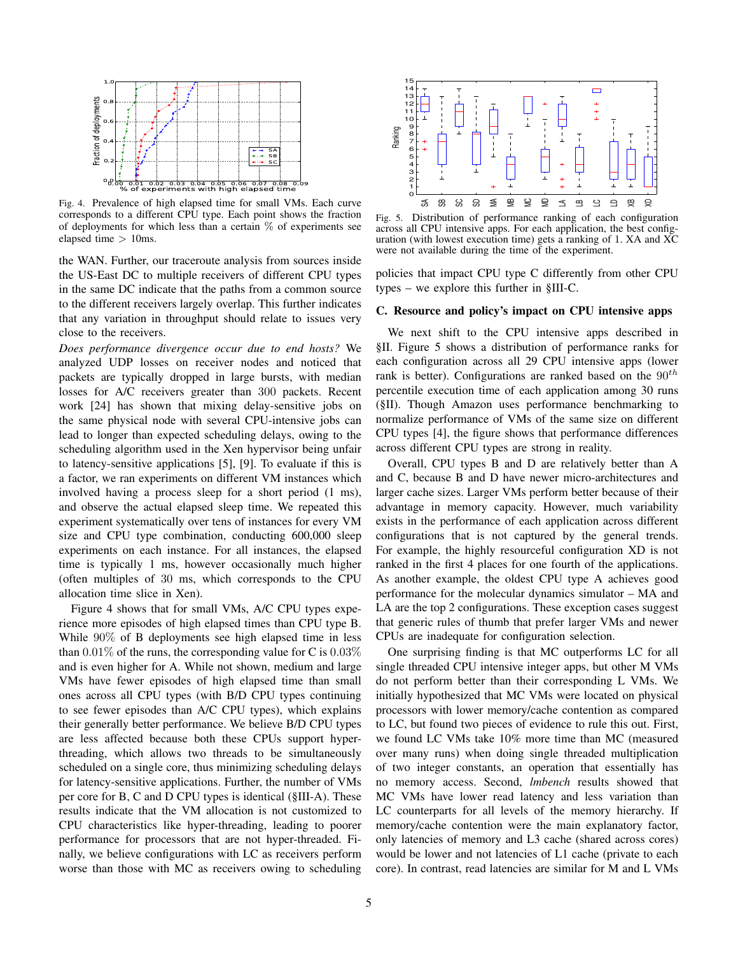

Fig. 4. Prevalence of high elapsed time for small VMs. Each curve corresponds to a different CPU type. Each point shows the fraction of deployments for which less than a certain  $%$  of experiments see elapsed time > 10ms.

the WAN. Further, our traceroute analysis from sources inside the US-East DC to multiple receivers of different CPU types in the same DC indicate that the paths from a common source to the different receivers largely overlap. This further indicates that any variation in throughput should relate to issues very close to the receivers.

*Does performance divergence occur due to end hosts?* We analyzed UDP losses on receiver nodes and noticed that packets are typically dropped in large bursts, with median losses for A/C receivers greater than 300 packets. Recent work [24] has shown that mixing delay-sensitive jobs on the same physical node with several CPU-intensive jobs can lead to longer than expected scheduling delays, owing to the scheduling algorithm used in the Xen hypervisor being unfair to latency-sensitive applications [5], [9]. To evaluate if this is a factor, we ran experiments on different VM instances which involved having a process sleep for a short period (1 ms), and observe the actual elapsed sleep time. We repeated this experiment systematically over tens of instances for every VM size and CPU type combination, conducting 600,000 sleep experiments on each instance. For all instances, the elapsed time is typically 1 ms, however occasionally much higher (often multiples of 30 ms, which corresponds to the CPU allocation time slice in Xen).

Figure 4 shows that for small VMs, A/C CPU types experience more episodes of high elapsed times than CPU type B. While 90% of B deployments see high elapsed time in less than  $0.01\%$  of the runs, the corresponding value for C is  $0.03\%$ and is even higher for A. While not shown, medium and large VMs have fewer episodes of high elapsed time than small ones across all CPU types (with B/D CPU types continuing to see fewer episodes than A/C CPU types), which explains their generally better performance. We believe B/D CPU types are less affected because both these CPUs support hyperthreading, which allows two threads to be simultaneously scheduled on a single core, thus minimizing scheduling delays for latency-sensitive applications. Further, the number of VMs per core for B, C and D CPU types is identical (§III-A). These results indicate that the VM allocation is not customized to CPU characteristics like hyper-threading, leading to poorer performance for processors that are not hyper-threaded. Finally, we believe configurations with LC as receivers perform worse than those with MC as receivers owing to scheduling



Fig. 5. Distribution of performance ranking of each configuration across all CPU intensive apps. For each application, the best configuration (with lowest execution time) gets a ranking of 1. XA and XC were not available during the time of the experiment.

policies that impact CPU type C differently from other CPU types – we explore this further in §III-C.

### C. Resource and policy's impact on CPU intensive apps

We next shift to the CPU intensive apps described in §II. Figure 5 shows a distribution of performance ranks for each configuration across all 29 CPU intensive apps (lower rank is better). Configurations are ranked based on the  $90<sup>th</sup>$ percentile execution time of each application among 30 runs (§II). Though Amazon uses performance benchmarking to normalize performance of VMs of the same size on different CPU types [4], the figure shows that performance differences across different CPU types are strong in reality.

Overall, CPU types B and D are relatively better than A and C, because B and D have newer micro-architectures and larger cache sizes. Larger VMs perform better because of their advantage in memory capacity. However, much variability exists in the performance of each application across different configurations that is not captured by the general trends. For example, the highly resourceful configuration XD is not ranked in the first 4 places for one fourth of the applications. As another example, the oldest CPU type A achieves good performance for the molecular dynamics simulator – MA and LA are the top 2 configurations. These exception cases suggest that generic rules of thumb that prefer larger VMs and newer CPUs are inadequate for configuration selection.

One surprising finding is that MC outperforms LC for all single threaded CPU intensive integer apps, but other M VMs do not perform better than their corresponding L VMs. We initially hypothesized that MC VMs were located on physical processors with lower memory/cache contention as compared to LC, but found two pieces of evidence to rule this out. First, we found LC VMs take 10% more time than MC (measured over many runs) when doing single threaded multiplication of two integer constants, an operation that essentially has no memory access. Second, *lmbench* results showed that MC VMs have lower read latency and less variation than LC counterparts for all levels of the memory hierarchy. If memory/cache contention were the main explanatory factor, only latencies of memory and L3 cache (shared across cores) would be lower and not latencies of L1 cache (private to each core). In contrast, read latencies are similar for M and L VMs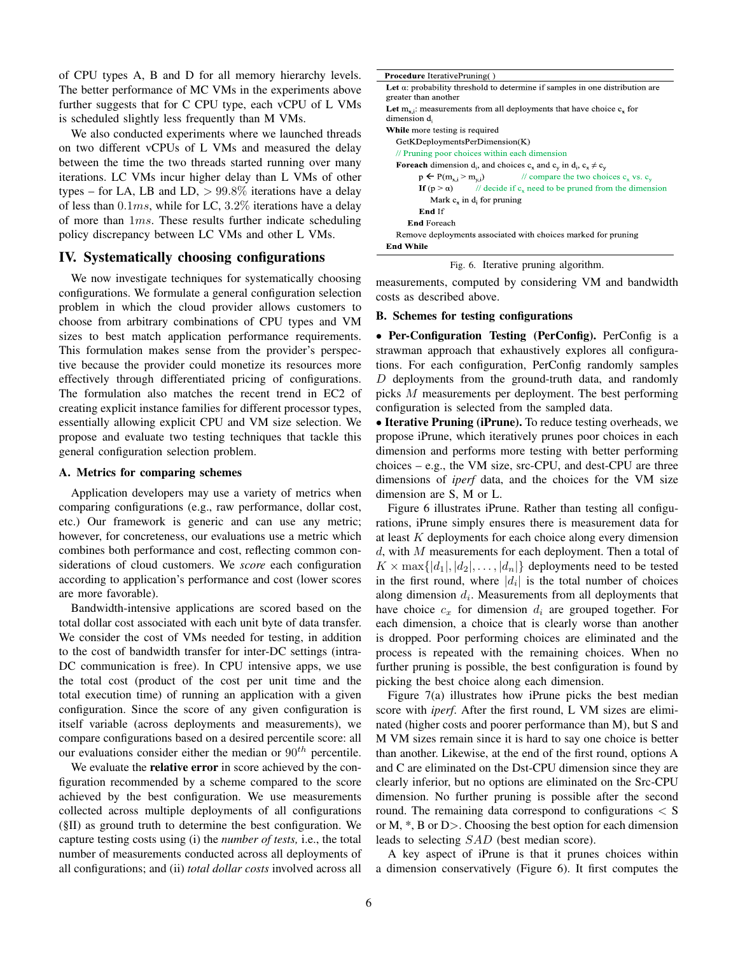of CPU types A, B and D for all memory hierarchy levels. The better performance of MC VMs in the experiments above further suggests that for C CPU type, each vCPU of L VMs is scheduled slightly less frequently than M VMs.

We also conducted experiments where we launched threads on two different vCPUs of L VMs and measured the delay between the time the two threads started running over many iterations. LC VMs incur higher delay than L VMs of other types – for LA, LB and LD,  $> 99.8\%$  iterations have a delay of less than  $0.1ms$ , while for LC,  $3.2\%$  iterations have a delay of more than 1ms. These results further indicate scheduling policy discrepancy between LC VMs and other L VMs.

# IV. Systematically choosing configurations

We now investigate techniques for systematically choosing configurations. We formulate a general configuration selection problem in which the cloud provider allows customers to choose from arbitrary combinations of CPU types and VM sizes to best match application performance requirements. This formulation makes sense from the provider's perspective because the provider could monetize its resources more effectively through differentiated pricing of configurations. The formulation also matches the recent trend in EC2 of creating explicit instance families for different processor types, essentially allowing explicit CPU and VM size selection. We propose and evaluate two testing techniques that tackle this general configuration selection problem.

#### A. Metrics for comparing schemes

Application developers may use a variety of metrics when comparing configurations (e.g., raw performance, dollar cost, etc.) Our framework is generic and can use any metric; however, for concreteness, our evaluations use a metric which combines both performance and cost, reflecting common considerations of cloud customers. We *score* each configuration according to application's performance and cost (lower scores are more favorable).

Bandwidth-intensive applications are scored based on the total dollar cost associated with each unit byte of data transfer. We consider the cost of VMs needed for testing, in addition to the cost of bandwidth transfer for inter-DC settings (intra-DC communication is free). In CPU intensive apps, we use the total cost (product of the cost per unit time and the total execution time) of running an application with a given configuration. Since the score of any given configuration is itself variable (across deployments and measurements), we compare configurations based on a desired percentile score: all our evaluations consider either the median or  $90<sup>th</sup>$  percentile.

We evaluate the **relative error** in score achieved by the configuration recommended by a scheme compared to the score achieved by the best configuration. We use measurements collected across multiple deployments of all configurations (§II) as ground truth to determine the best configuration. We capture testing costs using (i) the *number of tests,* i.e., the total number of measurements conducted across all deployments of all configurations; and (ii) *total dollar costs* involved across all

| <b>Procedure</b> IterativePruning()                                                                          |  |  |
|--------------------------------------------------------------------------------------------------------------|--|--|
| Let $\alpha$ : probability threshold to determine if samples in one distribution are<br>greater than another |  |  |
| Let $m_{x,i}$ : measurements from all deployments that have choice $c_x$ for<br>dimension d.                 |  |  |
| While more testing is required                                                                               |  |  |
| GetKDeploymentsPerDimension(K)                                                                               |  |  |
| // Pruning poor choices within each dimension                                                                |  |  |
| <b>Foreach</b> dimension $d_i$ , and choices $c_x$ and $c_y$ in $d_i$ , $c_x \neq c_y$                       |  |  |
| // compare the two choices $c_x$ vs. $c_y$<br>$p \leftarrow P(m_{x,i} > m_{y,i})$                            |  |  |
| If $(p > \alpha)$ // decide if $c_x$ need to be pruned from the dimension                                    |  |  |
| Mark $cx$ in d <sub>i</sub> for pruning                                                                      |  |  |
| <b>End If</b>                                                                                                |  |  |
| <b>End Foreach</b>                                                                                           |  |  |
| Remove deployments associated with choices marked for pruning                                                |  |  |
| <b>End While</b>                                                                                             |  |  |

Fig. 6. Iterative pruning algorithm.

measurements, computed by considering VM and bandwidth costs as described above.

# B. Schemes for testing configurations

• Per-Configuration Testing (PerConfig). PerConfig is a strawman approach that exhaustively explores all configurations. For each configuration, PerConfig randomly samples D deployments from the ground-truth data, and randomly picks M measurements per deployment. The best performing configuration is selected from the sampled data.

• Iterative Pruning (iPrune). To reduce testing overheads, we propose iPrune, which iteratively prunes poor choices in each dimension and performs more testing with better performing choices – e.g., the VM size, src-CPU, and dest-CPU are three dimensions of *iperf* data, and the choices for the VM size dimension are S, M or L.

Figure 6 illustrates iPrune. Rather than testing all configurations, iPrune simply ensures there is measurement data for at least  $K$  deployments for each choice along every dimension d, with M measurements for each deployment. Then a total of  $K \times \max\{|d_1|, |d_2|, \ldots, |d_n|\}$  deployments need to be tested in the first round, where  $|d_i|$  is the total number of choices along dimension  $d_i$ . Measurements from all deployments that have choice  $c_x$  for dimension  $d_i$  are grouped together. For each dimension, a choice that is clearly worse than another is dropped. Poor performing choices are eliminated and the process is repeated with the remaining choices. When no further pruning is possible, the best configuration is found by picking the best choice along each dimension.

Figure 7(a) illustrates how iPrune picks the best median score with *iperf*. After the first round, L VM sizes are eliminated (higher costs and poorer performance than M), but S and M VM sizes remain since it is hard to say one choice is better than another. Likewise, at the end of the first round, options A and C are eliminated on the Dst-CPU dimension since they are clearly inferior, but no options are eliminated on the Src-CPU dimension. No further pruning is possible after the second round. The remaining data correspond to configurations  $\langle S \rangle$ or M, \*, B or D>. Choosing the best option for each dimension leads to selecting SAD (best median score).

A key aspect of iPrune is that it prunes choices within a dimension conservatively (Figure 6). It first computes the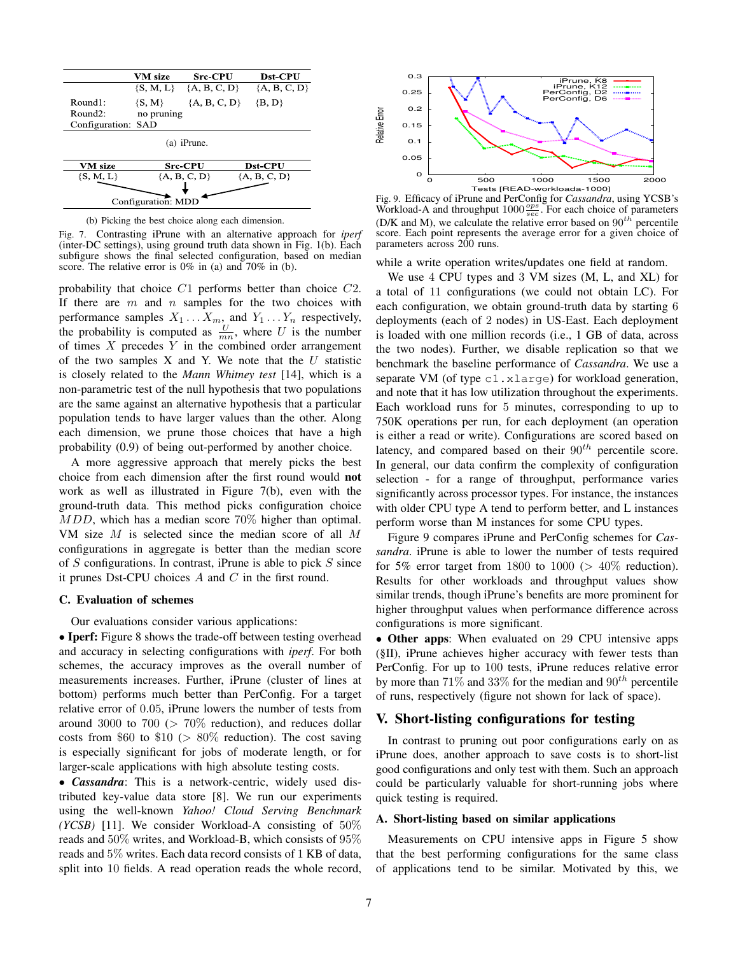

(b) Picking the best choice along each dimension.

Fig. 7. Contrasting iPrune with an alternative approach for *iperf* (inter-DC settings), using ground truth data shown in Fig. 1(b). Each subfigure shows the final selected configuration, based on median score. The relative error is 0% in (a) and 70% in (b).

probability that choice C1 performs better than choice C2. If there are  $m$  and  $n$  samples for the two choices with performance samples  $X_1 \ldots X_m$ , and  $Y_1 \ldots Y_n$  respectively, the probability is computed as  $\frac{U}{mn}$ , where U is the number of times  $X$  precedes  $Y$  in the combined order arrangement of the two samples  $X$  and  $Y$ . We note that the  $U$  statistic is closely related to the *Mann Whitney test* [14], which is a non-parametric test of the null hypothesis that two populations are the same against an alternative hypothesis that a particular population tends to have larger values than the other. Along each dimension, we prune those choices that have a high probability (0.9) of being out-performed by another choice.

A more aggressive approach that merely picks the best choice from each dimension after the first round would not work as well as illustrated in Figure 7(b), even with the ground-truth data. This method picks configuration choice MDD, which has a median score 70% higher than optimal. VM size M is selected since the median score of all M configurations in aggregate is better than the median score of  $S$  configurations. In contrast, iPrune is able to pick  $S$  since it prunes Dst-CPU choices  $A$  and  $C$  in the first round.

#### C. Evaluation of schemes

Our evaluations consider various applications:

• Iperf: Figure 8 shows the trade-off between testing overhead and accuracy in selecting configurations with *iperf*. For both schemes, the accuracy improves as the overall number of measurements increases. Further, iPrune (cluster of lines at bottom) performs much better than PerConfig. For a target relative error of 0.05, iPrune lowers the number of tests from around 3000 to  $700$  ( $> 70\%$  reduction), and reduces dollar costs from \$60 to \$10 ( $> 80\%$  reduction). The cost saving is especially significant for jobs of moderate length, or for larger-scale applications with high absolute testing costs.

• *Cassandra*: This is a network-centric, widely used distributed key-value data store [8]. We run our experiments using the well-known *Yahoo! Cloud Serving Benchmark (YCSB)* [11]. We consider Workload-A consisting of 50% reads and 50% writes, and Workload-B, which consists of 95% reads and 5% writes. Each data record consists of 1 KB of data, split into 10 fields. A read operation reads the whole record,



Fig. 9. Efficacy of iPrune and PerConfig for *Cassandra*, using YCSB's Workload-A and throughput  $1000 \frac{\rho_{ps}}{\epsilon c}$ . For each choice of parameters (D/K and M), we calculate the relative error based on  $90<sup>th</sup>$  percentile score. Each point represents the average error for a given choice of parameters across 200 runs.

while a write operation writes/updates one field at random.

We use 4 CPU types and 3 VM sizes (M, L, and XL) for a total of 11 configurations (we could not obtain LC). For each configuration, we obtain ground-truth data by starting 6 deployments (each of 2 nodes) in US-East. Each deployment is loaded with one million records (i.e., 1 GB of data, across the two nodes). Further, we disable replication so that we benchmark the baseline performance of *Cassandra*. We use a separate VM (of type c1.xlarge) for workload generation, and note that it has low utilization throughout the experiments. Each workload runs for 5 minutes, corresponding to up to 750K operations per run, for each deployment (an operation is either a read or write). Configurations are scored based on latency, and compared based on their  $90<sup>th</sup>$  percentile score. In general, our data confirm the complexity of configuration selection - for a range of throughput, performance varies significantly across processor types. For instance, the instances with older CPU type A tend to perform better, and L instances perform worse than M instances for some CPU types.

Figure 9 compares iPrune and PerConfig schemes for *Cassandra*. iPrune is able to lower the number of tests required for 5% error target from 1800 to 1000 ( $> 40\%$  reduction). Results for other workloads and throughput values show similar trends, though iPrune's benefits are more prominent for higher throughput values when performance difference across configurations is more significant.

• Other apps: When evaluated on 29 CPU intensive apps (§II), iPrune achieves higher accuracy with fewer tests than PerConfig. For up to 100 tests, iPrune reduces relative error by more than 71% and 33% for the median and  $90^{th}$  percentile of runs, respectively (figure not shown for lack of space).

## V. Short-listing configurations for testing

In contrast to pruning out poor configurations early on as iPrune does, another approach to save costs is to short-list good configurations and only test with them. Such an approach could be particularly valuable for short-running jobs where quick testing is required.

#### A. Short-listing based on similar applications

Measurements on CPU intensive apps in Figure 5 show that the best performing configurations for the same class of applications tend to be similar. Motivated by this, we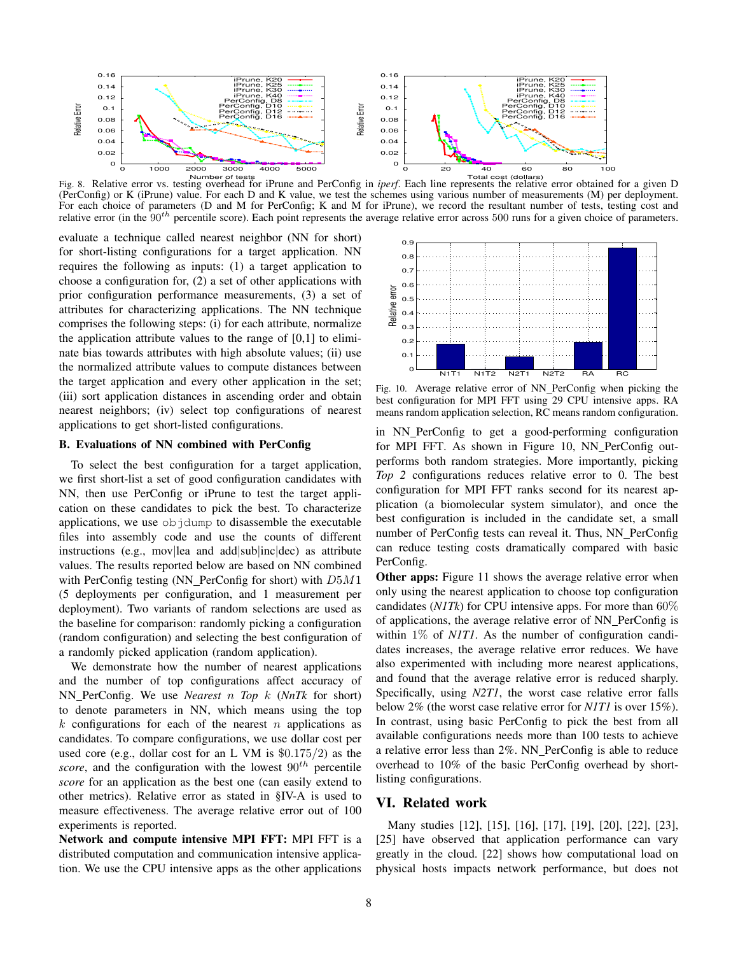

Number of tests Fig. 8. Relative error vs. testing overhead for iPrune and PerConfig in *iperf*. Each line represents the relative error obtained for a given D (PerConfig) or K (iPrune) value. For each D and K value, we test the schemes using various number of measurements (M) per deployment. For each choice of parameters (D and M for PerConfig; K and M for iPrune), we record the resultant number of tests, testing cost and relative error (in the  $90<sup>th</sup>$  percentile score). Each point represents the average relative error across 500 runs for a given choice of parameters.

evaluate a technique called nearest neighbor (NN for short) for short-listing configurations for a target application. NN requires the following as inputs: (1) a target application to choose a configuration for, (2) a set of other applications with prior configuration performance measurements, (3) a set of attributes for characterizing applications. The NN technique comprises the following steps: (i) for each attribute, normalize the application attribute values to the range of [0,1] to eliminate bias towards attributes with high absolute values; (ii) use the normalized attribute values to compute distances between the target application and every other application in the set; (iii) sort application distances in ascending order and obtain nearest neighbors; (iv) select top configurations of nearest applications to get short-listed configurations.

## B. Evaluations of NN combined with PerConfig

To select the best configuration for a target application, we first short-list a set of good configuration candidates with NN, then use PerConfig or iPrune to test the target application on these candidates to pick the best. To characterize applications, we use objdump to disassemble the executable files into assembly code and use the counts of different instructions (e.g., mov|lea and add|sub|inc|dec) as attribute values. The results reported below are based on NN combined with PerConfig testing (NN\_PerConfig for short) with  $D5M1$ (5 deployments per configuration, and 1 measurement per deployment). Two variants of random selections are used as the baseline for comparison: randomly picking a configuration (random configuration) and selecting the best configuration of a randomly picked application (random application).

We demonstrate how the number of nearest applications and the number of top configurations affect accuracy of NN PerConfig. We use *Nearest* n *Top* k (*NnTk* for short) to denote parameters in NN, which means using the top  $k$  configurations for each of the nearest n applications as candidates. To compare configurations, we use dollar cost per used core (e.g., dollar cost for an L VM is  $$0.175/2)$  as the *score*, and the configuration with the lowest  $90<sup>th</sup>$  percentile *score* for an application as the best one (can easily extend to other metrics). Relative error as stated in §IV-A is used to measure effectiveness. The average relative error out of 100 experiments is reported.

Network and compute intensive MPI FFT: MPI FFT is a distributed computation and communication intensive application. We use the CPU intensive apps as the other applications



Fig. 10. Average relative error of NN PerConfig when picking the best configuration for MPI FFT using 29 CPU intensive apps. RA means random application selection, RC means random configuration.

in NN PerConfig to get a good-performing configuration for MPI FFT. As shown in Figure 10, NN\_PerConfig outperforms both random strategies. More importantly, picking *Top 2* configurations reduces relative error to 0. The best configuration for MPI FFT ranks second for its nearest application (a biomolecular system simulator), and once the best configuration is included in the candidate set, a small number of PerConfig tests can reveal it. Thus, NN PerConfig can reduce testing costs dramatically compared with basic PerConfig.

Other apps: Figure 11 shows the average relative error when only using the nearest application to choose top configuration candidates (*N1Tk*) for CPU intensive apps. For more than 60% of applications, the average relative error of NN PerConfig is within 1% of *N1T1*. As the number of configuration candidates increases, the average relative error reduces. We have also experimented with including more nearest applications, and found that the average relative error is reduced sharply. Specifically, using *N2T1*, the worst case relative error falls below 2% (the worst case relative error for *N1T1* is over 15%). In contrast, using basic PerConfig to pick the best from all available configurations needs more than 100 tests to achieve a relative error less than 2%. NN PerConfig is able to reduce overhead to 10% of the basic PerConfig overhead by shortlisting configurations.

# VI. Related work

Many studies [12], [15], [16], [17], [19], [20], [22], [23], [25] have observed that application performance can vary greatly in the cloud. [22] shows how computational load on physical hosts impacts network performance, but does not